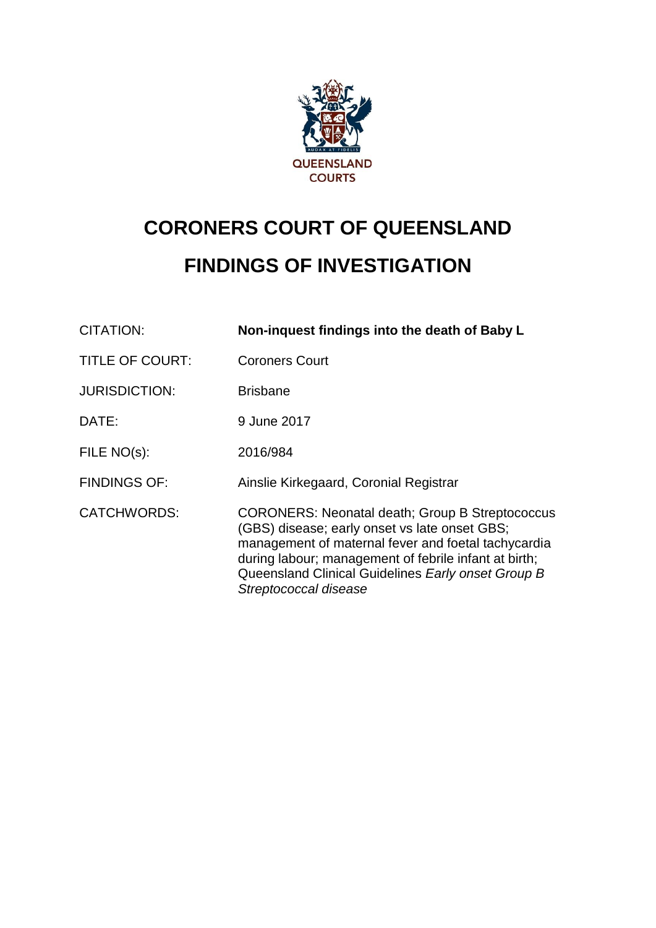

# **CORONERS COURT OF QUEENSLAND FINDINGS OF INVESTIGATION**

| <b>CITATION:</b>       | Non-inquest findings into the death of Baby L                                                                                                                                                                                                                                                          |
|------------------------|--------------------------------------------------------------------------------------------------------------------------------------------------------------------------------------------------------------------------------------------------------------------------------------------------------|
| <b>TITLE OF COURT:</b> | <b>Coroners Court</b>                                                                                                                                                                                                                                                                                  |
| <b>JURISDICTION:</b>   | <b>Brisbane</b>                                                                                                                                                                                                                                                                                        |
| DATE:                  | 9 June 2017                                                                                                                                                                                                                                                                                            |
| FILE $NO(s)$ :         | 2016/984                                                                                                                                                                                                                                                                                               |
| <b>FINDINGS OF:</b>    | Ainslie Kirkegaard, Coronial Registrar                                                                                                                                                                                                                                                                 |
| <b>CATCHWORDS:</b>     | <b>CORONERS: Neonatal death; Group B Streptococcus</b><br>(GBS) disease; early onset vs late onset GBS;<br>management of maternal fever and foetal tachycardia<br>during labour; management of febrile infant at birth;<br>Queensland Clinical Guidelines Early onset Group B<br>Streptococcal disease |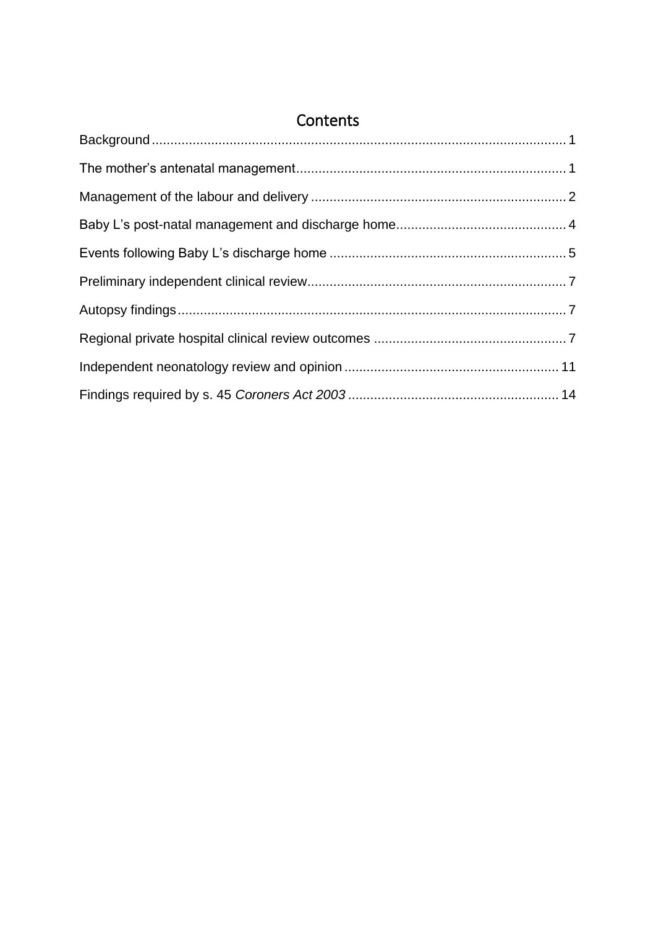| Contents |  |  |
|----------|--|--|
|          |  |  |
|          |  |  |
|          |  |  |
|          |  |  |
|          |  |  |
|          |  |  |
|          |  |  |
|          |  |  |
|          |  |  |
|          |  |  |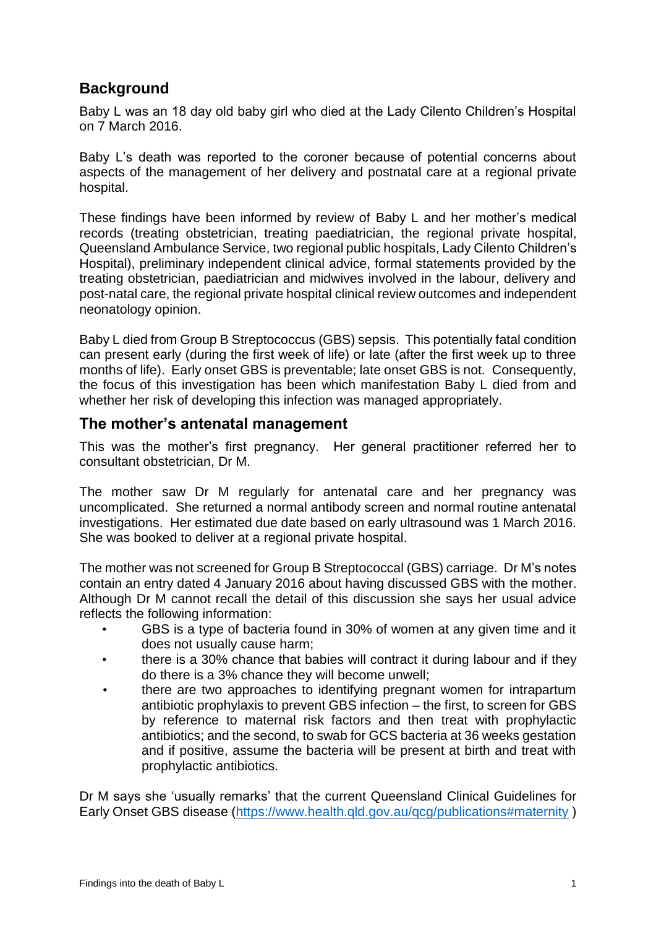# <span id="page-2-0"></span>**Background**

Baby L was an 18 day old baby girl who died at the Lady Cilento Children's Hospital on 7 March 2016.

Baby L's death was reported to the coroner because of potential concerns about aspects of the management of her delivery and postnatal care at a regional private hospital.

These findings have been informed by review of Baby L and her mother's medical records (treating obstetrician, treating paediatrician, the regional private hospital, Queensland Ambulance Service, two regional public hospitals, Lady Cilento Children's Hospital), preliminary independent clinical advice, formal statements provided by the treating obstetrician, paediatrician and midwives involved in the labour, delivery and post-natal care, the regional private hospital clinical review outcomes and independent neonatology opinion.

Baby L died from Group B Streptococcus (GBS) sepsis. This potentially fatal condition can present early (during the first week of life) or late (after the first week up to three months of life). Early onset GBS is preventable; late onset GBS is not. Consequently, the focus of this investigation has been which manifestation Baby L died from and whether her risk of developing this infection was managed appropriately.

#### <span id="page-2-1"></span>**The mother's antenatal management**

This was the mother's first pregnancy. Her general practitioner referred her to consultant obstetrician, Dr M.

The mother saw Dr M regularly for antenatal care and her pregnancy was uncomplicated. She returned a normal antibody screen and normal routine antenatal investigations. Her estimated due date based on early ultrasound was 1 March 2016. She was booked to deliver at a regional private hospital.

The mother was not screened for Group B Streptococcal (GBS) carriage. Dr M's notes contain an entry dated 4 January 2016 about having discussed GBS with the mother. Although Dr M cannot recall the detail of this discussion she says her usual advice reflects the following information:

- GBS is a type of bacteria found in 30% of women at any given time and it does not usually cause harm;
- there is a 30% chance that babies will contract it during labour and if they do there is a 3% chance they will become unwell;
- there are two approaches to identifying pregnant women for intrapartum antibiotic prophylaxis to prevent GBS infection – the first, to screen for GBS by reference to maternal risk factors and then treat with prophylactic antibiotics; and the second, to swab for GCS bacteria at 36 weeks gestation and if positive, assume the bacteria will be present at birth and treat with prophylactic antibiotics.

Dr M says she 'usually remarks' that the current Queensland Clinical Guidelines for Early Onset GBS disease [\(https://www.health.qld.gov.au/qcg/publications#maternity](https://www.health.qld.gov.au/qcg/publications#maternity) )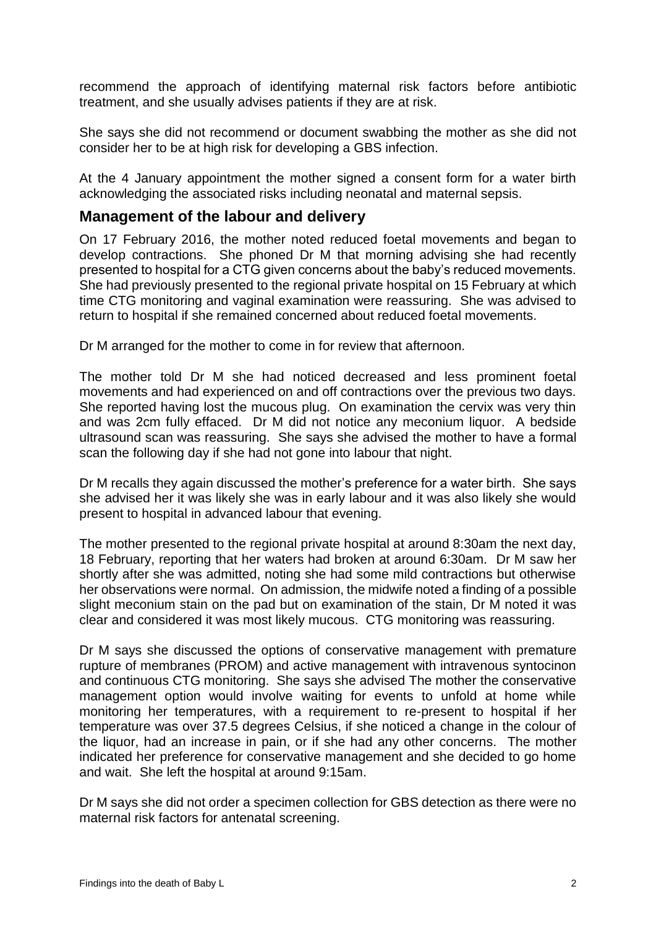recommend the approach of identifying maternal risk factors before antibiotic treatment, and she usually advises patients if they are at risk.

She says she did not recommend or document swabbing the mother as she did not consider her to be at high risk for developing a GBS infection.

At the 4 January appointment the mother signed a consent form for a water birth acknowledging the associated risks including neonatal and maternal sepsis.

#### <span id="page-3-0"></span>**Management of the labour and delivery**

On 17 February 2016, the mother noted reduced foetal movements and began to develop contractions. She phoned Dr M that morning advising she had recently presented to hospital for a CTG given concerns about the baby's reduced movements. She had previously presented to the regional private hospital on 15 February at which time CTG monitoring and vaginal examination were reassuring. She was advised to return to hospital if she remained concerned about reduced foetal movements.

Dr M arranged for the mother to come in for review that afternoon.

The mother told Dr M she had noticed decreased and less prominent foetal movements and had experienced on and off contractions over the previous two days. She reported having lost the mucous plug. On examination the cervix was very thin and was 2cm fully effaced. Dr M did not notice any meconium liquor. A bedside ultrasound scan was reassuring. She says she advised the mother to have a formal scan the following day if she had not gone into labour that night.

Dr M recalls they again discussed the mother's preference for a water birth. She says she advised her it was likely she was in early labour and it was also likely she would present to hospital in advanced labour that evening.

The mother presented to the regional private hospital at around 8:30am the next day, 18 February, reporting that her waters had broken at around 6:30am. Dr M saw her shortly after she was admitted, noting she had some mild contractions but otherwise her observations were normal. On admission, the midwife noted a finding of a possible slight meconium stain on the pad but on examination of the stain, Dr M noted it was clear and considered it was most likely mucous. CTG monitoring was reassuring.

Dr M says she discussed the options of conservative management with premature rupture of membranes (PROM) and active management with intravenous syntocinon and continuous CTG monitoring. She says she advised The mother the conservative management option would involve waiting for events to unfold at home while monitoring her temperatures, with a requirement to re-present to hospital if her temperature was over 37.5 degrees Celsius, if she noticed a change in the colour of the liquor, had an increase in pain, or if she had any other concerns. The mother indicated her preference for conservative management and she decided to go home and wait. She left the hospital at around 9:15am.

Dr M says she did not order a specimen collection for GBS detection as there were no maternal risk factors for antenatal screening.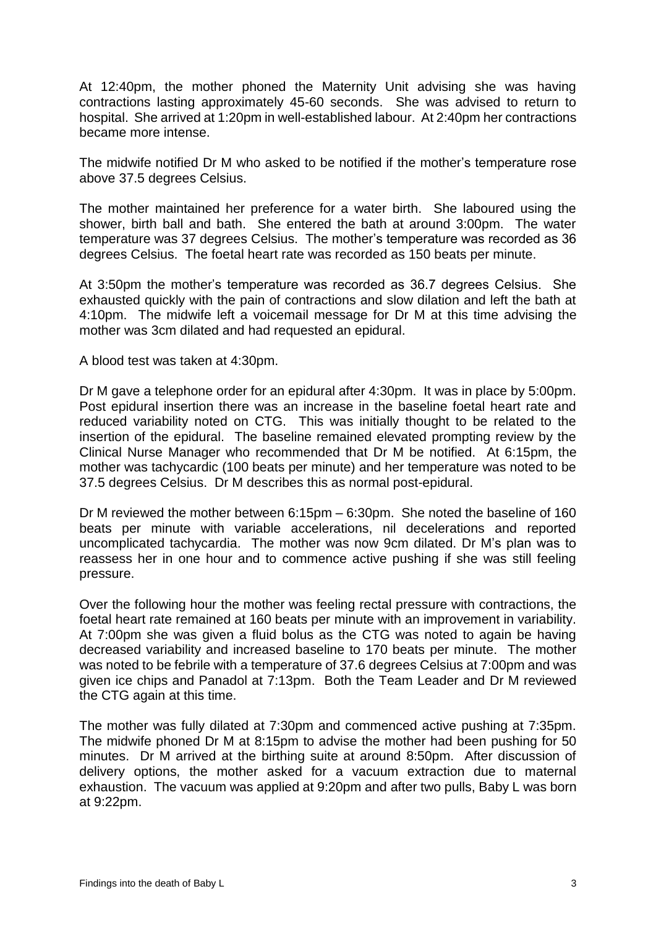At 12:40pm, the mother phoned the Maternity Unit advising she was having contractions lasting approximately 45-60 seconds. She was advised to return to hospital. She arrived at 1:20pm in well-established labour. At 2:40pm her contractions became more intense.

The midwife notified Dr M who asked to be notified if the mother's temperature rose above 37.5 degrees Celsius.

The mother maintained her preference for a water birth. She laboured using the shower, birth ball and bath. She entered the bath at around 3:00pm. The water temperature was 37 degrees Celsius. The mother's temperature was recorded as 36 degrees Celsius. The foetal heart rate was recorded as 150 beats per minute.

At 3:50pm the mother's temperature was recorded as 36.7 degrees Celsius. She exhausted quickly with the pain of contractions and slow dilation and left the bath at 4:10pm. The midwife left a voicemail message for Dr M at this time advising the mother was 3cm dilated and had requested an epidural.

A blood test was taken at 4:30pm.

Dr M gave a telephone order for an epidural after 4:30pm. It was in place by 5:00pm. Post epidural insertion there was an increase in the baseline foetal heart rate and reduced variability noted on CTG. This was initially thought to be related to the insertion of the epidural. The baseline remained elevated prompting review by the Clinical Nurse Manager who recommended that Dr M be notified. At 6:15pm, the mother was tachycardic (100 beats per minute) and her temperature was noted to be 37.5 degrees Celsius. Dr M describes this as normal post-epidural.

Dr M reviewed the mother between 6:15pm – 6:30pm. She noted the baseline of 160 beats per minute with variable accelerations, nil decelerations and reported uncomplicated tachycardia. The mother was now 9cm dilated. Dr M's plan was to reassess her in one hour and to commence active pushing if she was still feeling pressure.

Over the following hour the mother was feeling rectal pressure with contractions, the foetal heart rate remained at 160 beats per minute with an improvement in variability. At 7:00pm she was given a fluid bolus as the CTG was noted to again be having decreased variability and increased baseline to 170 beats per minute. The mother was noted to be febrile with a temperature of 37.6 degrees Celsius at 7:00pm and was given ice chips and Panadol at 7:13pm. Both the Team Leader and Dr M reviewed the CTG again at this time.

The mother was fully dilated at 7:30pm and commenced active pushing at 7:35pm. The midwife phoned Dr M at 8:15pm to advise the mother had been pushing for 50 minutes. Dr M arrived at the birthing suite at around 8:50pm. After discussion of delivery options, the mother asked for a vacuum extraction due to maternal exhaustion. The vacuum was applied at 9:20pm and after two pulls, Baby L was born at 9:22pm.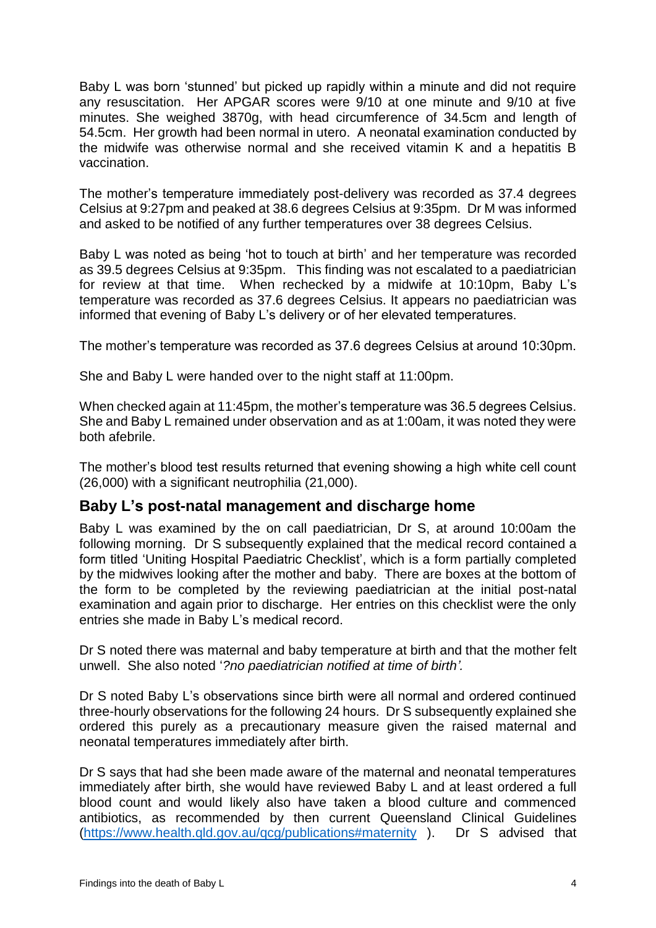Baby L was born 'stunned' but picked up rapidly within a minute and did not require any resuscitation. Her APGAR scores were 9/10 at one minute and 9/10 at five minutes. She weighed 3870g, with head circumference of 34.5cm and length of 54.5cm. Her growth had been normal in utero. A neonatal examination conducted by the midwife was otherwise normal and she received vitamin K and a hepatitis B vaccination.

The mother's temperature immediately post-delivery was recorded as 37.4 degrees Celsius at 9:27pm and peaked at 38.6 degrees Celsius at 9:35pm. Dr M was informed and asked to be notified of any further temperatures over 38 degrees Celsius.

Baby L was noted as being 'hot to touch at birth' and her temperature was recorded as 39.5 degrees Celsius at 9:35pm. This finding was not escalated to a paediatrician for review at that time. When rechecked by a midwife at 10:10pm, Baby L's temperature was recorded as 37.6 degrees Celsius. It appears no paediatrician was informed that evening of Baby L's delivery or of her elevated temperatures.

The mother's temperature was recorded as 37.6 degrees Celsius at around 10:30pm.

She and Baby L were handed over to the night staff at 11:00pm.

When checked again at 11:45pm, the mother's temperature was 36.5 degrees Celsius. She and Baby L remained under observation and as at 1:00am, it was noted they were both afebrile.

The mother's blood test results returned that evening showing a high white cell count (26,000) with a significant neutrophilia (21,000).

## <span id="page-5-0"></span>**Baby L's post-natal management and discharge home**

Baby L was examined by the on call paediatrician, Dr S, at around 10:00am the following morning. Dr S subsequently explained that the medical record contained a form titled 'Uniting Hospital Paediatric Checklist', which is a form partially completed by the midwives looking after the mother and baby. There are boxes at the bottom of the form to be completed by the reviewing paediatrician at the initial post-natal examination and again prior to discharge. Her entries on this checklist were the only entries she made in Baby L's medical record.

Dr S noted there was maternal and baby temperature at birth and that the mother felt unwell. She also noted '*?no paediatrician notified at time of birth'.*

Dr S noted Baby L's observations since birth were all normal and ordered continued three-hourly observations for the following 24 hours. Dr S subsequently explained she ordered this purely as a precautionary measure given the raised maternal and neonatal temperatures immediately after birth.

Dr S says that had she been made aware of the maternal and neonatal temperatures immediately after birth, she would have reviewed Baby L and at least ordered a full blood count and would likely also have taken a blood culture and commenced antibiotics, as recommended by then current Queensland Clinical Guidelines [\(https://www.health.qld.gov.au/qcg/publications#maternity](https://www.health.qld.gov.au/qcg/publications#maternity) ). Dr S advised that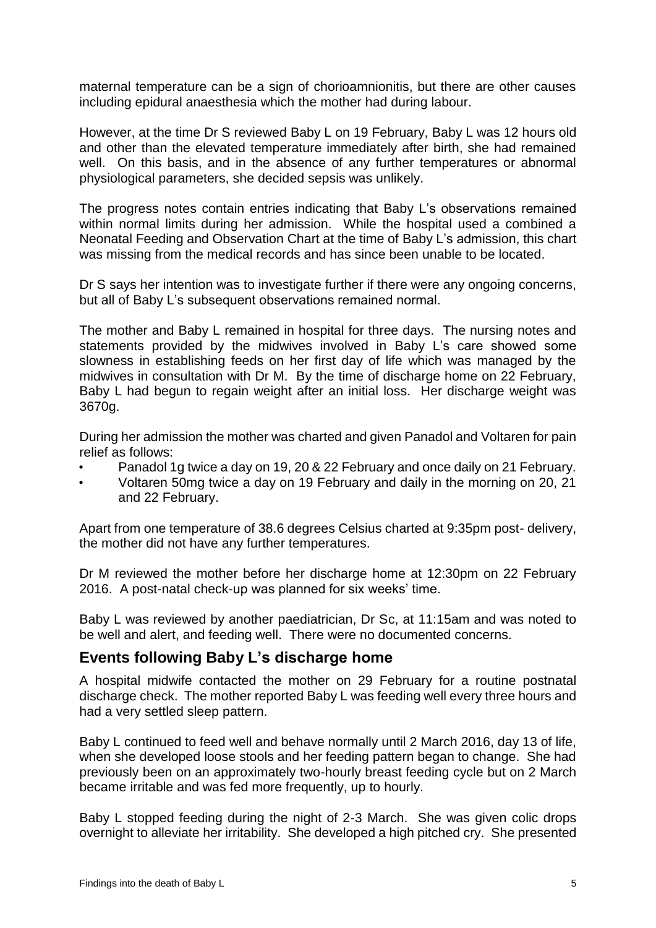maternal temperature can be a sign of chorioamnionitis, but there are other causes including epidural anaesthesia which the mother had during labour.

However, at the time Dr S reviewed Baby L on 19 February, Baby L was 12 hours old and other than the elevated temperature immediately after birth, she had remained well. On this basis, and in the absence of any further temperatures or abnormal physiological parameters, she decided sepsis was unlikely.

The progress notes contain entries indicating that Baby L's observations remained within normal limits during her admission. While the hospital used a combined a Neonatal Feeding and Observation Chart at the time of Baby L's admission, this chart was missing from the medical records and has since been unable to be located.

Dr S says her intention was to investigate further if there were any ongoing concerns, but all of Baby L's subsequent observations remained normal.

The mother and Baby L remained in hospital for three days. The nursing notes and statements provided by the midwives involved in Baby L's care showed some slowness in establishing feeds on her first day of life which was managed by the midwives in consultation with Dr M. By the time of discharge home on 22 February, Baby L had begun to regain weight after an initial loss. Her discharge weight was 3670g.

During her admission the mother was charted and given Panadol and Voltaren for pain relief as follows:

- Panadol 1g twice a day on 19, 20 & 22 February and once daily on 21 February.
- Voltaren 50mg twice a day on 19 February and daily in the morning on 20, 21 and 22 February.

Apart from one temperature of 38.6 degrees Celsius charted at 9:35pm post- delivery, the mother did not have any further temperatures.

Dr M reviewed the mother before her discharge home at 12:30pm on 22 February 2016. A post-natal check-up was planned for six weeks' time.

Baby L was reviewed by another paediatrician, Dr Sc, at 11:15am and was noted to be well and alert, and feeding well. There were no documented concerns.

## <span id="page-6-0"></span>**Events following Baby L's discharge home**

A hospital midwife contacted the mother on 29 February for a routine postnatal discharge check. The mother reported Baby L was feeding well every three hours and had a very settled sleep pattern.

Baby L continued to feed well and behave normally until 2 March 2016, day 13 of life, when she developed loose stools and her feeding pattern began to change. She had previously been on an approximately two-hourly breast feeding cycle but on 2 March became irritable and was fed more frequently, up to hourly.

Baby L stopped feeding during the night of 2-3 March. She was given colic drops overnight to alleviate her irritability. She developed a high pitched cry. She presented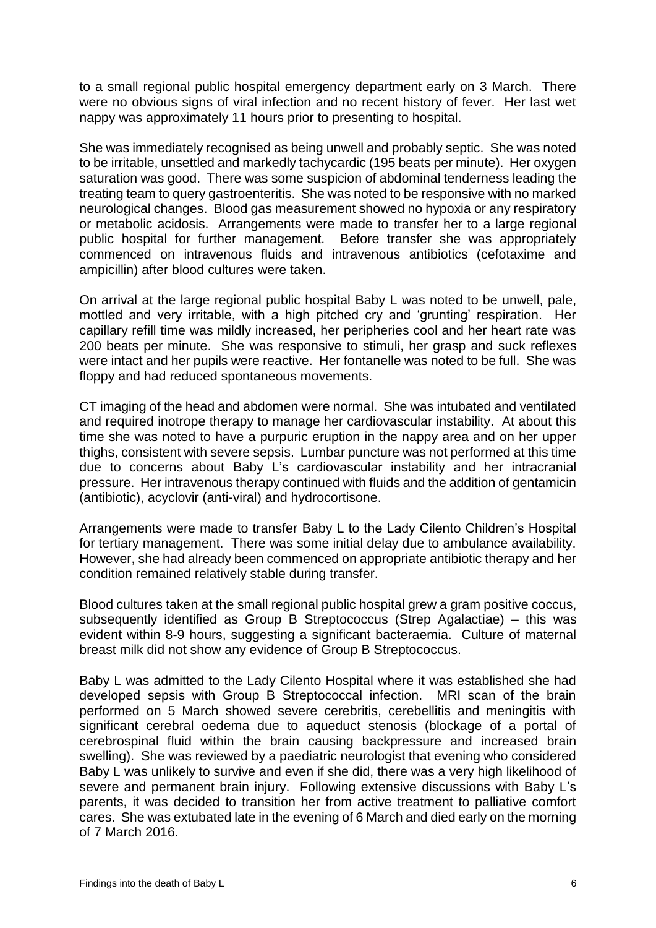to a small regional public hospital emergency department early on 3 March. There were no obvious signs of viral infection and no recent history of fever. Her last wet nappy was approximately 11 hours prior to presenting to hospital.

She was immediately recognised as being unwell and probably septic. She was noted to be irritable, unsettled and markedly tachycardic (195 beats per minute). Her oxygen saturation was good. There was some suspicion of abdominal tenderness leading the treating team to query gastroenteritis. She was noted to be responsive with no marked neurological changes. Blood gas measurement showed no hypoxia or any respiratory or metabolic acidosis. Arrangements were made to transfer her to a large regional public hospital for further management. Before transfer she was appropriately commenced on intravenous fluids and intravenous antibiotics (cefotaxime and ampicillin) after blood cultures were taken.

On arrival at the large regional public hospital Baby L was noted to be unwell, pale, mottled and very irritable, with a high pitched cry and 'grunting' respiration. Her capillary refill time was mildly increased, her peripheries cool and her heart rate was 200 beats per minute. She was responsive to stimuli, her grasp and suck reflexes were intact and her pupils were reactive. Her fontanelle was noted to be full. She was floppy and had reduced spontaneous movements.

CT imaging of the head and abdomen were normal. She was intubated and ventilated and required inotrope therapy to manage her cardiovascular instability. At about this time she was noted to have a purpuric eruption in the nappy area and on her upper thighs, consistent with severe sepsis. Lumbar puncture was not performed at this time due to concerns about Baby L's cardiovascular instability and her intracranial pressure. Her intravenous therapy continued with fluids and the addition of gentamicin (antibiotic), acyclovir (anti-viral) and hydrocortisone.

Arrangements were made to transfer Baby L to the Lady Cilento Children's Hospital for tertiary management. There was some initial delay due to ambulance availability. However, she had already been commenced on appropriate antibiotic therapy and her condition remained relatively stable during transfer.

Blood cultures taken at the small regional public hospital grew a gram positive coccus, subsequently identified as Group B Streptococcus (Strep Agalactiae) – this was evident within 8-9 hours, suggesting a significant bacteraemia. Culture of maternal breast milk did not show any evidence of Group B Streptococcus.

Baby L was admitted to the Lady Cilento Hospital where it was established she had developed sepsis with Group B Streptococcal infection. MRI scan of the brain performed on 5 March showed severe cerebritis, cerebellitis and meningitis with significant cerebral oedema due to aqueduct stenosis (blockage of a portal of cerebrospinal fluid within the brain causing backpressure and increased brain swelling). She was reviewed by a paediatric neurologist that evening who considered Baby L was unlikely to survive and even if she did, there was a very high likelihood of severe and permanent brain injury. Following extensive discussions with Baby L's parents, it was decided to transition her from active treatment to palliative comfort cares. She was extubated late in the evening of 6 March and died early on the morning of 7 March 2016.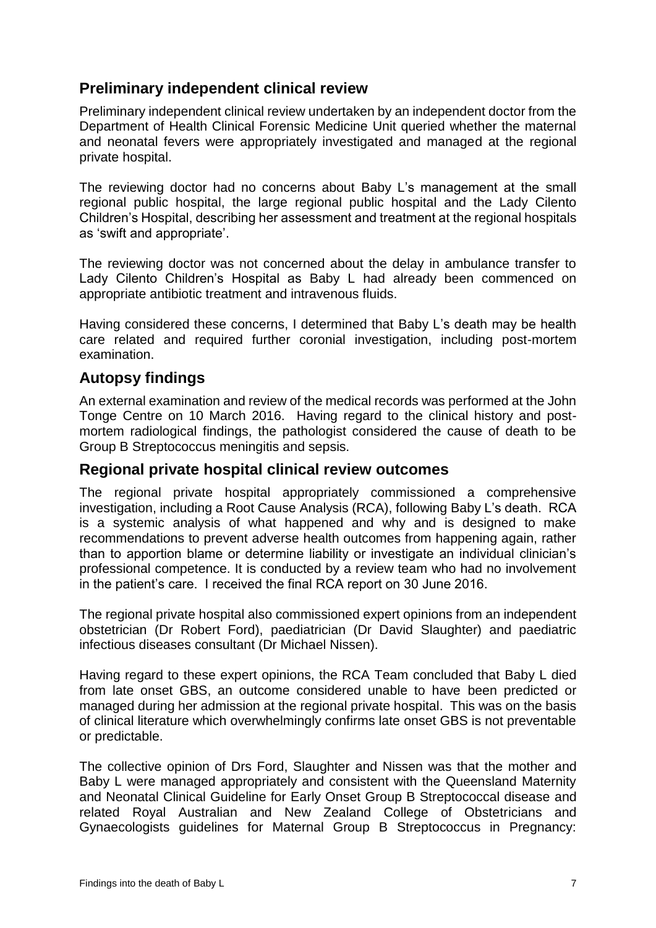# <span id="page-8-0"></span>**Preliminary independent clinical review**

Preliminary independent clinical review undertaken by an independent doctor from the Department of Health Clinical Forensic Medicine Unit queried whether the maternal and neonatal fevers were appropriately investigated and managed at the regional private hospital.

The reviewing doctor had no concerns about Baby L's management at the small regional public hospital, the large regional public hospital and the Lady Cilento Children's Hospital, describing her assessment and treatment at the regional hospitals as 'swift and appropriate'.

The reviewing doctor was not concerned about the delay in ambulance transfer to Lady Cilento Children's Hospital as Baby L had already been commenced on appropriate antibiotic treatment and intravenous fluids.

Having considered these concerns, I determined that Baby L's death may be health care related and required further coronial investigation, including post-mortem examination.

## <span id="page-8-1"></span>**Autopsy findings**

An external examination and review of the medical records was performed at the John Tonge Centre on 10 March 2016. Having regard to the clinical history and postmortem radiological findings, the pathologist considered the cause of death to be Group B Streptococcus meningitis and sepsis.

### <span id="page-8-2"></span>**Regional private hospital clinical review outcomes**

The regional private hospital appropriately commissioned a comprehensive investigation, including a Root Cause Analysis (RCA), following Baby L's death. RCA is a systemic analysis of what happened and why and is designed to make recommendations to prevent adverse health outcomes from happening again, rather than to apportion blame or determine liability or investigate an individual clinician's professional competence. It is conducted by a review team who had no involvement in the patient's care. I received the final RCA report on 30 June 2016.

The regional private hospital also commissioned expert opinions from an independent obstetrician (Dr Robert Ford), paediatrician (Dr David Slaughter) and paediatric infectious diseases consultant (Dr Michael Nissen).

Having regard to these expert opinions, the RCA Team concluded that Baby L died from late onset GBS, an outcome considered unable to have been predicted or managed during her admission at the regional private hospital. This was on the basis of clinical literature which overwhelmingly confirms late onset GBS is not preventable or predictable.

The collective opinion of Drs Ford, Slaughter and Nissen was that the mother and Baby L were managed appropriately and consistent with the Queensland Maternity and Neonatal Clinical Guideline for Early Onset Group B Streptococcal disease and related Royal Australian and New Zealand College of Obstetricians and Gynaecologists guidelines for Maternal Group B Streptococcus in Pregnancy: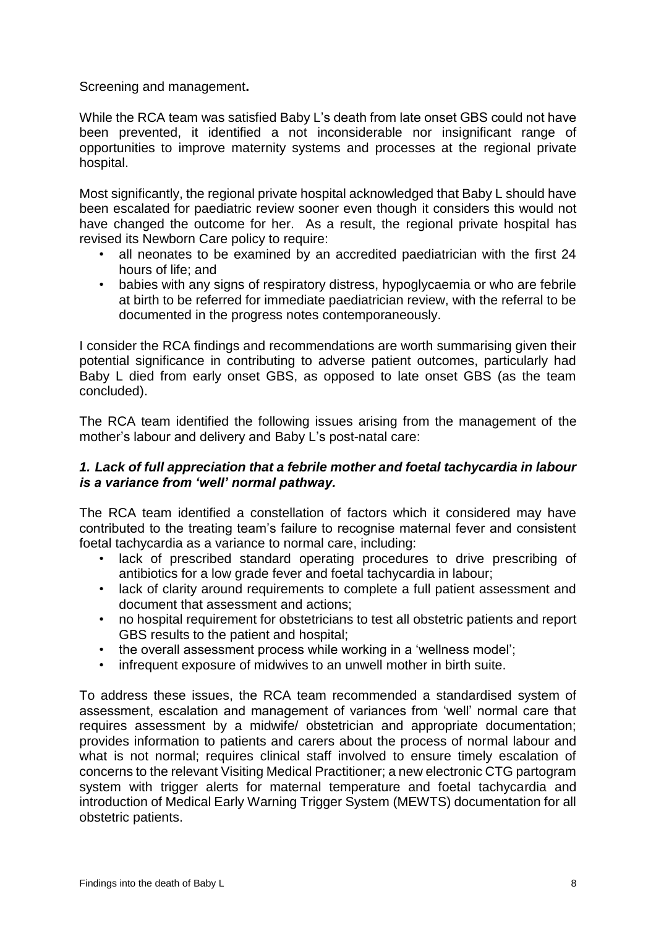Screening and management**.** 

While the RCA team was satisfied Baby L's death from late onset GBS could not have been prevented, it identified a not inconsiderable nor insignificant range of opportunities to improve maternity systems and processes at the regional private hospital.

Most significantly, the regional private hospital acknowledged that Baby L should have been escalated for paediatric review sooner even though it considers this would not have changed the outcome for her. As a result, the regional private hospital has revised its Newborn Care policy to require:

- all neonates to be examined by an accredited paediatrician with the first 24 hours of life; and
- babies with any signs of respiratory distress, hypoglycaemia or who are febrile at birth to be referred for immediate paediatrician review, with the referral to be documented in the progress notes contemporaneously.

I consider the RCA findings and recommendations are worth summarising given their potential significance in contributing to adverse patient outcomes, particularly had Baby L died from early onset GBS, as opposed to late onset GBS (as the team concluded).

The RCA team identified the following issues arising from the management of the mother's labour and delivery and Baby L's post-natal care:

#### *1. Lack of full appreciation that a febrile mother and foetal tachycardia in labour is a variance from 'well' normal pathway.*

The RCA team identified a constellation of factors which it considered may have contributed to the treating team's failure to recognise maternal fever and consistent foetal tachycardia as a variance to normal care, including:

- lack of prescribed standard operating procedures to drive prescribing of antibiotics for a low grade fever and foetal tachycardia in labour;
- lack of clarity around requirements to complete a full patient assessment and document that assessment and actions;
- no hospital requirement for obstetricians to test all obstetric patients and report GBS results to the patient and hospital;
- the overall assessment process while working in a 'wellness model';
- infrequent exposure of midwives to an unwell mother in birth suite.

To address these issues, the RCA team recommended a standardised system of assessment, escalation and management of variances from 'well' normal care that requires assessment by a midwife/ obstetrician and appropriate documentation; provides information to patients and carers about the process of normal labour and what is not normal; requires clinical staff involved to ensure timely escalation of concerns to the relevant Visiting Medical Practitioner; a new electronic CTG partogram system with trigger alerts for maternal temperature and foetal tachycardia and introduction of Medical Early Warning Trigger System (MEWTS) documentation for all obstetric patients.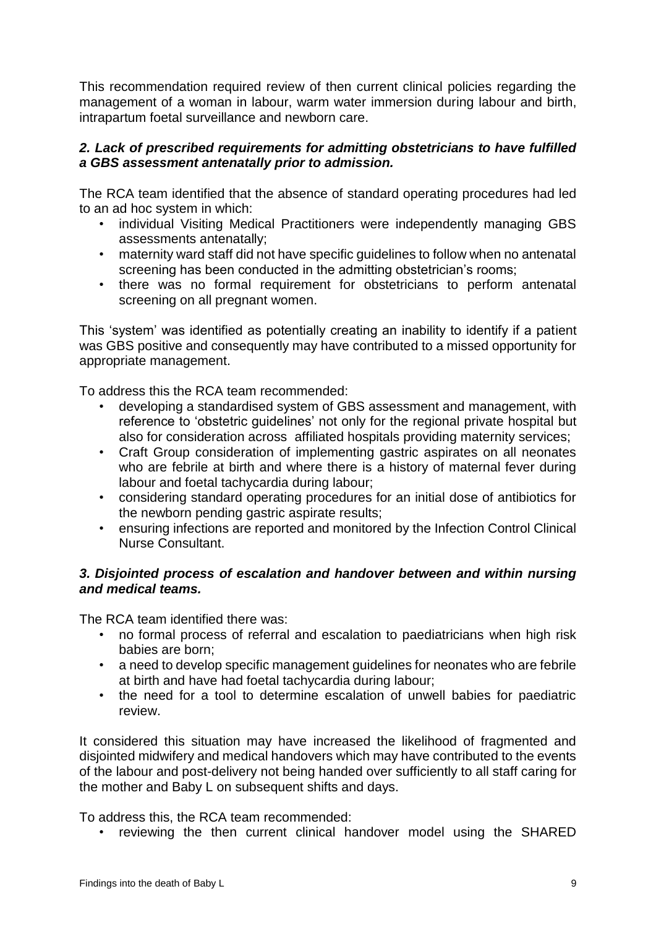This recommendation required review of then current clinical policies regarding the management of a woman in labour, warm water immersion during labour and birth, intrapartum foetal surveillance and newborn care.

#### *2. Lack of prescribed requirements for admitting obstetricians to have fulfilled a GBS assessment antenatally prior to admission.*

The RCA team identified that the absence of standard operating procedures had led to an ad hoc system in which:

- individual Visiting Medical Practitioners were independently managing GBS assessments antenatally;
- maternity ward staff did not have specific guidelines to follow when no antenatal screening has been conducted in the admitting obstetrician's rooms;
- there was no formal requirement for obstetricians to perform antenatal screening on all pregnant women.

This 'system' was identified as potentially creating an inability to identify if a patient was GBS positive and consequently may have contributed to a missed opportunity for appropriate management.

To address this the RCA team recommended:

- developing a standardised system of GBS assessment and management, with reference to 'obstetric guidelines' not only for the regional private hospital but also for consideration across affiliated hospitals providing maternity services;
- Craft Group consideration of implementing gastric aspirates on all neonates who are febrile at birth and where there is a history of maternal fever during labour and foetal tachycardia during labour;
- considering standard operating procedures for an initial dose of antibiotics for the newborn pending gastric aspirate results:
- ensuring infections are reported and monitored by the Infection Control Clinical Nurse Consultant.

#### *3. Disjointed process of escalation and handover between and within nursing and medical teams.*

The RCA team identified there was:

- no formal process of referral and escalation to paediatricians when high risk babies are born;
- a need to develop specific management guidelines for neonates who are febrile at birth and have had foetal tachycardia during labour;
- the need for a tool to determine escalation of unwell babies for paediatric review.

It considered this situation may have increased the likelihood of fragmented and disjointed midwifery and medical handovers which may have contributed to the events of the labour and post-delivery not being handed over sufficiently to all staff caring for the mother and Baby L on subsequent shifts and days.

To address this, the RCA team recommended:

• reviewing the then current clinical handover model using the SHARED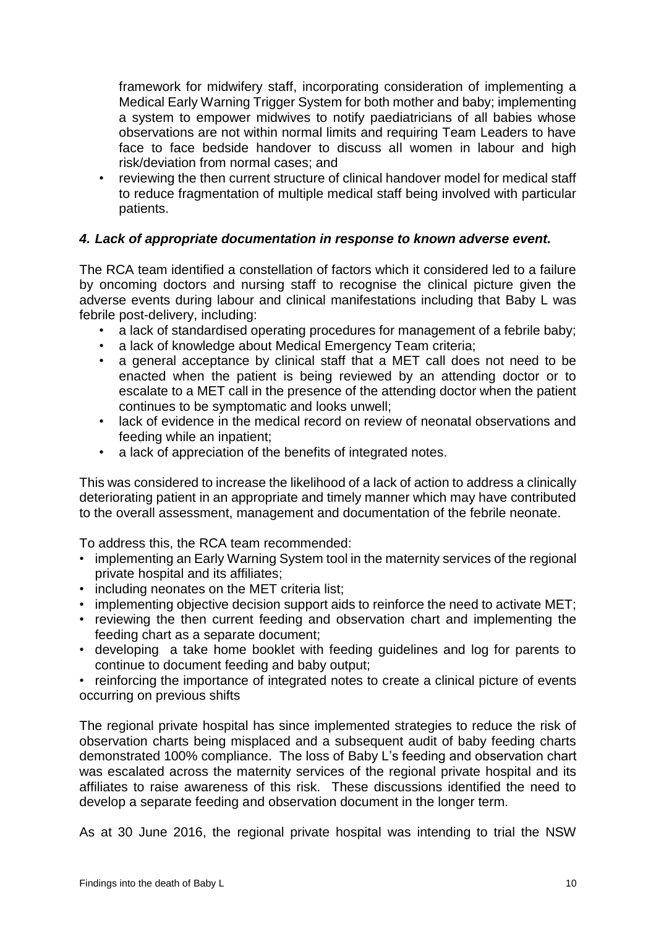framework for midwifery staff, incorporating consideration of implementing a Medical Early Warning Trigger System for both mother and baby; implementing a system to empower midwives to notify paediatricians of all babies whose observations are not within normal limits and requiring Team Leaders to have face to face bedside handover to discuss all women in labour and high risk/deviation from normal cases; and

• reviewing the then current structure of clinical handover model for medical staff to reduce fragmentation of multiple medical staff being involved with particular patients.

#### *4. Lack of appropriate documentation in response to known adverse event.*

The RCA team identified a constellation of factors which it considered led to a failure by oncoming doctors and nursing staff to recognise the clinical picture given the adverse events during labour and clinical manifestations including that Baby L was febrile post-delivery, including:

- a lack of standardised operating procedures for management of a febrile baby;
- a lack of knowledge about Medical Emergency Team criteria;
- a general acceptance by clinical staff that a MET call does not need to be enacted when the patient is being reviewed by an attending doctor or to escalate to a MET call in the presence of the attending doctor when the patient continues to be symptomatic and looks unwell;
- lack of evidence in the medical record on review of neonatal observations and feeding while an inpatient;
- a lack of appreciation of the benefits of integrated notes.

This was considered to increase the likelihood of a lack of action to address a clinically deteriorating patient in an appropriate and timely manner which may have contributed to the overall assessment, management and documentation of the febrile neonate.

To address this, the RCA team recommended:

- implementing an Early Warning System tool in the maternity services of the regional private hospital and its affiliates;
- including neonates on the MET criteria list;
- implementing objective decision support aids to reinforce the need to activate MET;
- reviewing the then current feeding and observation chart and implementing the feeding chart as a separate document;
- developing a take home booklet with feeding guidelines and log for parents to continue to document feeding and baby output;
- reinforcing the importance of integrated notes to create a clinical picture of events occurring on previous shifts

The regional private hospital has since implemented strategies to reduce the risk of observation charts being misplaced and a subsequent audit of baby feeding charts demonstrated 100% compliance. The loss of Baby L's feeding and observation chart was escalated across the maternity services of the regional private hospital and its affiliates to raise awareness of this risk. These discussions identified the need to develop a separate feeding and observation document in the longer term.

As at 30 June 2016, the regional private hospital was intending to trial the NSW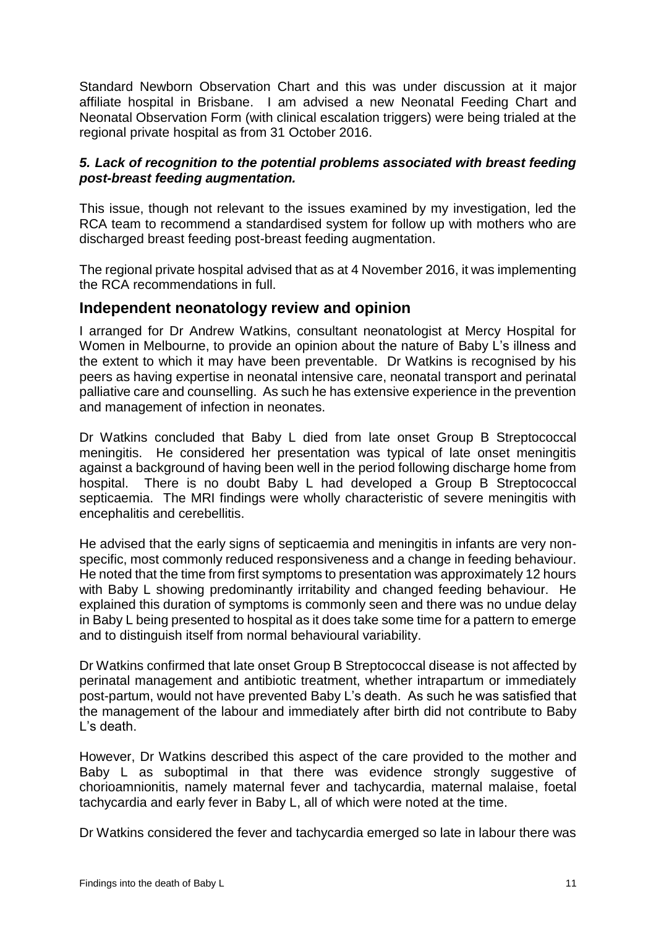Standard Newborn Observation Chart and this was under discussion at it major affiliate hospital in Brisbane. I am advised a new Neonatal Feeding Chart and Neonatal Observation Form (with clinical escalation triggers) were being trialed at the regional private hospital as from 31 October 2016.

#### *5. Lack of recognition to the potential problems associated with breast feeding post-breast feeding augmentation.*

This issue, though not relevant to the issues examined by my investigation, led the RCA team to recommend a standardised system for follow up with mothers who are discharged breast feeding post-breast feeding augmentation.

The regional private hospital advised that as at 4 November 2016, it was implementing the RCA recommendations in full.

#### <span id="page-12-0"></span>**Independent neonatology review and opinion**

I arranged for Dr Andrew Watkins, consultant neonatologist at Mercy Hospital for Women in Melbourne, to provide an opinion about the nature of Baby L's illness and the extent to which it may have been preventable. Dr Watkins is recognised by his peers as having expertise in neonatal intensive care, neonatal transport and perinatal palliative care and counselling. As such he has extensive experience in the prevention and management of infection in neonates.

Dr Watkins concluded that Baby L died from late onset Group B Streptococcal meningitis. He considered her presentation was typical of late onset meningitis against a background of having been well in the period following discharge home from hospital. There is no doubt Baby L had developed a Group B Streptococcal septicaemia. The MRI findings were wholly characteristic of severe meningitis with encephalitis and cerebellitis.

He advised that the early signs of septicaemia and meningitis in infants are very nonspecific, most commonly reduced responsiveness and a change in feeding behaviour. He noted that the time from first symptoms to presentation was approximately 12 hours with Baby L showing predominantly irritability and changed feeding behaviour. He explained this duration of symptoms is commonly seen and there was no undue delay in Baby L being presented to hospital as it does take some time for a pattern to emerge and to distinguish itself from normal behavioural variability.

Dr Watkins confirmed that late onset Group B Streptococcal disease is not affected by perinatal management and antibiotic treatment, whether intrapartum or immediately post-partum, would not have prevented Baby L's death. As such he was satisfied that the management of the labour and immediately after birth did not contribute to Baby L's death.

However, Dr Watkins described this aspect of the care provided to the mother and Baby L as suboptimal in that there was evidence strongly suggestive of chorioamnionitis, namely maternal fever and tachycardia, maternal malaise, foetal tachycardia and early fever in Baby L, all of which were noted at the time.

Dr Watkins considered the fever and tachycardia emerged so late in labour there was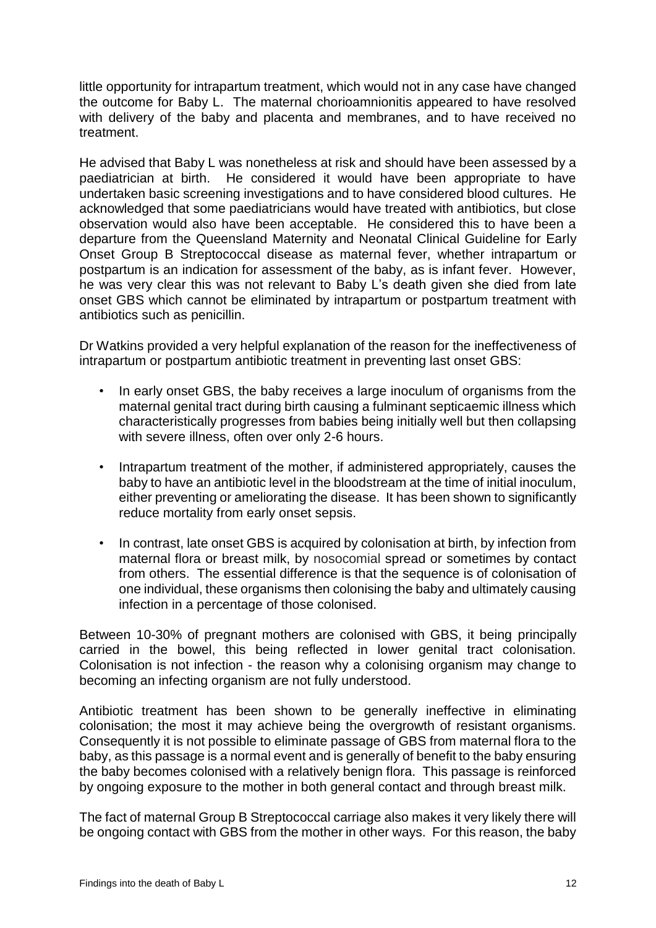little opportunity for intrapartum treatment, which would not in any case have changed the outcome for Baby L. The maternal chorioamnionitis appeared to have resolved with delivery of the baby and placenta and membranes, and to have received no treatment.

He advised that Baby L was nonetheless at risk and should have been assessed by a paediatrician at birth. He considered it would have been appropriate to have undertaken basic screening investigations and to have considered blood cultures. He acknowledged that some paediatricians would have treated with antibiotics, but close observation would also have been acceptable. He considered this to have been a departure from the Queensland Maternity and Neonatal Clinical Guideline for Early Onset Group B Streptococcal disease as maternal fever, whether intrapartum or postpartum is an indication for assessment of the baby, as is infant fever. However, he was very clear this was not relevant to Baby L's death given she died from late onset GBS which cannot be eliminated by intrapartum or postpartum treatment with antibiotics such as penicillin.

Dr Watkins provided a very helpful explanation of the reason for the ineffectiveness of intrapartum or postpartum antibiotic treatment in preventing last onset GBS:

- In early onset GBS, the baby receives a large inoculum of organisms from the maternal genital tract during birth causing a fulminant septicaemic illness which characteristically progresses from babies being initially well but then collapsing with severe illness, often over only 2-6 hours.
- Intrapartum treatment of the mother, if administered appropriately, causes the baby to have an antibiotic level in the bloodstream at the time of initial inoculum, either preventing or ameliorating the disease. It has been shown to significantly reduce mortality from early onset sepsis.
- In contrast, late onset GBS is acquired by colonisation at birth, by infection from maternal flora or breast milk, by nosocomial spread or sometimes by contact from others. The essential difference is that the sequence is of colonisation of one individual, these organisms then colonising the baby and ultimately causing infection in a percentage of those colonised.

Between 10-30% of pregnant mothers are colonised with GBS, it being principally carried in the bowel, this being reflected in lower genital tract colonisation. Colonisation is not infection - the reason why a colonising organism may change to becoming an infecting organism are not fully understood.

Antibiotic treatment has been shown to be generally ineffective in eliminating colonisation; the most it may achieve being the overgrowth of resistant organisms. Consequently it is not possible to eliminate passage of GBS from maternal flora to the baby, as this passage is a normal event and is generally of benefit to the baby ensuring the baby becomes colonised with a relatively benign flora. This passage is reinforced by ongoing exposure to the mother in both general contact and through breast milk.

The fact of maternal Group B Streptococcal carriage also makes it very likely there will be ongoing contact with GBS from the mother in other ways. For this reason, the baby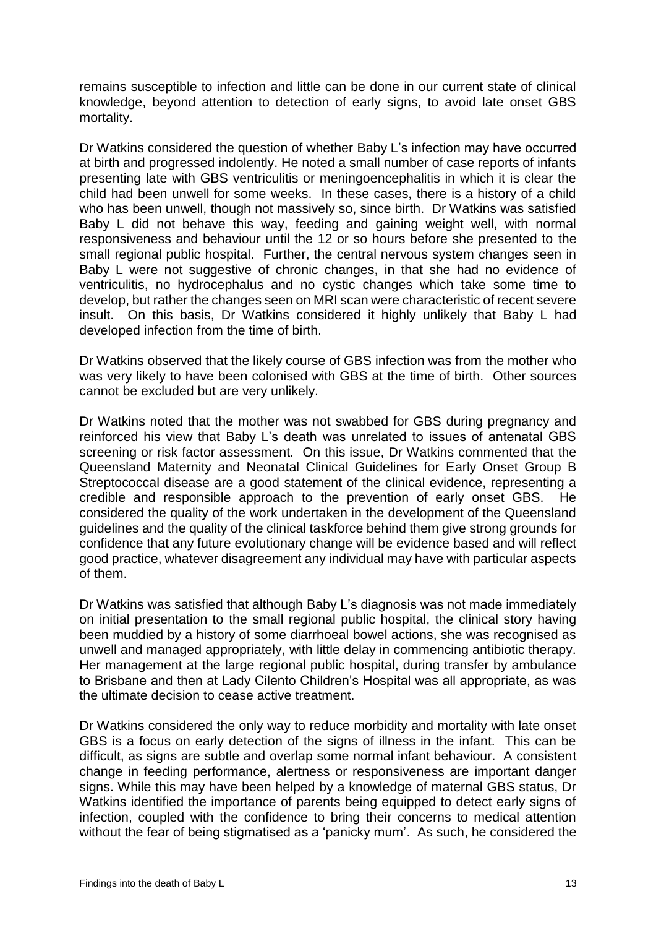remains susceptible to infection and little can be done in our current state of clinical knowledge, beyond attention to detection of early signs, to avoid late onset GBS mortality.

Dr Watkins considered the question of whether Baby L's infection may have occurred at birth and progressed indolently. He noted a small number of case reports of infants presenting late with GBS ventriculitis or meningoencephalitis in which it is clear the child had been unwell for some weeks. In these cases, there is a history of a child who has been unwell, though not massively so, since birth. Dr Watkins was satisfied Baby L did not behave this way, feeding and gaining weight well, with normal responsiveness and behaviour until the 12 or so hours before she presented to the small regional public hospital. Further, the central nervous system changes seen in Baby L were not suggestive of chronic changes, in that she had no evidence of ventriculitis, no hydrocephalus and no cystic changes which take some time to develop, but rather the changes seen on MRI scan were characteristic of recent severe insult. On this basis, Dr Watkins considered it highly unlikely that Baby L had developed infection from the time of birth.

Dr Watkins observed that the likely course of GBS infection was from the mother who was very likely to have been colonised with GBS at the time of birth. Other sources cannot be excluded but are very unlikely.

Dr Watkins noted that the mother was not swabbed for GBS during pregnancy and reinforced his view that Baby L's death was unrelated to issues of antenatal GBS screening or risk factor assessment. On this issue, Dr Watkins commented that the Queensland Maternity and Neonatal Clinical Guidelines for Early Onset Group B Streptococcal disease are a good statement of the clinical evidence, representing a credible and responsible approach to the prevention of early onset GBS. He considered the quality of the work undertaken in the development of the Queensland guidelines and the quality of the clinical taskforce behind them give strong grounds for confidence that any future evolutionary change will be evidence based and will reflect good practice, whatever disagreement any individual may have with particular aspects of them.

Dr Watkins was satisfied that although Baby L's diagnosis was not made immediately on initial presentation to the small regional public hospital, the clinical story having been muddied by a history of some diarrhoeal bowel actions, she was recognised as unwell and managed appropriately, with little delay in commencing antibiotic therapy. Her management at the large regional public hospital, during transfer by ambulance to Brisbane and then at Lady Cilento Children's Hospital was all appropriate, as was the ultimate decision to cease active treatment.

Dr Watkins considered the only way to reduce morbidity and mortality with late onset GBS is a focus on early detection of the signs of illness in the infant. This can be difficult, as signs are subtle and overlap some normal infant behaviour. A consistent change in feeding performance, alertness or responsiveness are important danger signs. While this may have been helped by a knowledge of maternal GBS status, Dr Watkins identified the importance of parents being equipped to detect early signs of infection, coupled with the confidence to bring their concerns to medical attention without the fear of being stigmatised as a 'panicky mum'. As such, he considered the